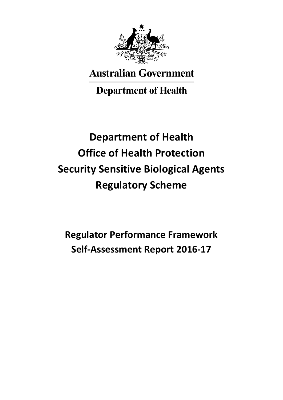

# **Australian Government**

## **Department of Health**

# **Department of Health Office of Health Protection Security Sensitive Biological Agents Regulatory Scheme**

**Regulator Performance Framework Self-Assessment Report 2016-17**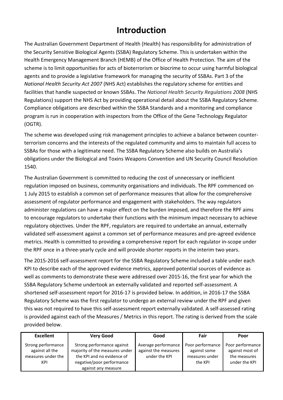### **Introduction**

The Australian Government Department of Health (Health) has responsibility for administration of the Security Sensitive Biological Agents (SSBA) Regulatory Scheme. This is undertaken within the Health Emergency Management Branch (HEMB) of the Office of Health Protection. The aim of the scheme is to limit opportunities for acts of bioterrorism or biocrime to occur using harmful biological agents and to provide a legislative framework for managing the security of SSBAs. Part 3 of the *National Health Security Act 2007* (NHS Act) establishes the regulatory scheme for entities and facilities that handle suspected or known SSBAs. The *National Health Security Regulations 2008* (NHS Regulations) support the NHS Act by providing operational detail about the SSBA Regulatory Scheme. Compliance obligations are described within the SSBA Standards and a monitoring and compliance program is run in cooperation with inspectors from the Office of the Gene Technology Regulator (OGTR).

The scheme was developed using risk management principles to achieve a balance between counterterrorism concerns and the interests of the regulated community and aims to maintain full access to SSBAs for those with a legitimate need. The SSBA Regulatory Scheme also builds on Australia's obligations under the Biological and Toxins Weapons Convention and UN Security Council Resolution 1540.

The Australian Government is committed to reducing the cost of unnecessary or inefficient regulation imposed on business, community organisations and individuals. The RPF commenced on 1 July 2015 to establish a common set of performance measures that allow for the comprehensive assessment of regulator performance and engagement with stakeholders. The way regulators administer regulations can have a major effect on the burden imposed, and therefore the RPF aims to encourage regulators to undertake their functions with the minimum impact necessary to achieve regulatory objectives. Under the RPF, regulators are required to undertake an annual, externally validated self-assessment against a common set of performance measures and pre-agreed evidence metrics. Health is committed to providing a comprehensive report for each regulator in-scope under the RPF once in a three-yearly cycle and will provide shorter reports in the interim two years.

The 2015-2016 self-assessment report for the SSBA Regulatory Scheme included a table under each KPI to describe each of the approved evidence metrics, approved potential sources of evidence as well as comments to demonstrate these were addressed over 2015-16, the first year for which the SSBA Regulatory Scheme undertook an externally validated and reported self-assessment. A shortened self-assessment report for 2016-17 is provided below. In addition, in 2016-17 the SSBA Regulatory Scheme was the first regulator to undergo an external review under the RPF and given this was not required to have this self-assessment report externally validated. A self-assessed rating is provided against each of the Measures / Metrics in this report. The rating is derived from the scale provided below.

| <b>Excellent</b>                      | <b>Very Good</b>                                             | Good                                        | Fair                             | Poor                                |
|---------------------------------------|--------------------------------------------------------------|---------------------------------------------|----------------------------------|-------------------------------------|
| Strong performance<br>against all the | Strong performance against<br>majority of the measures under | Average performance<br>against the measures | Poor performance<br>against some | Poor performance<br>against most of |
| measures under the                    | the KPI and no evidence of                                   | under the KPI                               | measures under                   | the measures                        |
| KPI                                   | negative/poor performance                                    |                                             | the KPI                          | under the KPI                       |
|                                       | against any measure                                          |                                             |                                  |                                     |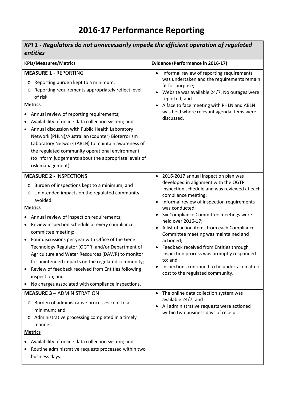## **2016-17 Performance Reporting**

| KPI 1 - Regulators do not unnecessarily impede the efficient operation of regulated<br>entities                                                                                                                                                                                                                                                                                                                                                                                                                                                                                                                                                         |                                                                                                                                                                                                                                                                                                                                                                                                                                                                                                                                                                                               |  |
|---------------------------------------------------------------------------------------------------------------------------------------------------------------------------------------------------------------------------------------------------------------------------------------------------------------------------------------------------------------------------------------------------------------------------------------------------------------------------------------------------------------------------------------------------------------------------------------------------------------------------------------------------------|-----------------------------------------------------------------------------------------------------------------------------------------------------------------------------------------------------------------------------------------------------------------------------------------------------------------------------------------------------------------------------------------------------------------------------------------------------------------------------------------------------------------------------------------------------------------------------------------------|--|
| <b>KPIs/Measures/Metrics</b>                                                                                                                                                                                                                                                                                                                                                                                                                                                                                                                                                                                                                            | <b>Evidence (Performance in 2016-17)</b>                                                                                                                                                                                                                                                                                                                                                                                                                                                                                                                                                      |  |
| <b>MEASURE 1 - REPORTING</b><br>Reporting burden kept to a minimum;<br>$\circ$<br>Reporting requirements appropriately reflect level<br>O<br>of risk.<br><b>Metrics</b><br>Annual review of reporting requirements;<br>Availability of online data collection system; and<br>Annual discussion with Public Health Laboratory<br>Network (PHLN)/Australian (counter) Bioterrorism<br>Laboratory Network (ABLN) to maintain awareness of<br>the regulated community operational environment<br>(to inform judgements about the appropriate levels of<br>risk management).                                                                                 | Informal review of reporting requirements<br>was undertaken and the requirements remain<br>fit for purpose;<br>Website was available 24/7. No outages were<br>reported; and<br>A face to face meeting with PHLN and ABLN<br>was held where relevant agenda items were<br>discussed.                                                                                                                                                                                                                                                                                                           |  |
| <b>MEASURE 2 - INSPECTIONS</b><br>o Burden of inspections kept to a minimum; and<br>o Unintended impacts on the regulated community<br>avoided.<br><b>Metrics</b><br>Annual review of inspection requirements;<br>Review inspection schedule at every compliance<br>$\bullet$<br>committee meeting;<br>Four discussions per year with Office of the Gene<br>Technology Regulator (OGTR) and/or Department of<br>Agriculture and Water Resources (DAWR) to monitor<br>for unintended impacts on the regulated community;<br>Review of feedback received from Entities following<br>inspection; and<br>No charges associated with compliance inspections. | 2016-2017 annual inspection plan was<br>$\bullet$<br>developed in alignment with the OGTR<br>inspection schedule and was reviewed at each<br>compliance meeting;<br>Informal review of inspection requirements<br>was conducted;<br>Six Compliance Committee meetings were<br>held over 2016-17;<br>A list of action items from each Compliance<br>Committee meeting was maintained and<br>actioned;<br>• Feedback received from Entities through<br>inspection process was promptly responded<br>to; and<br>Inspections continued to be undertaken at no<br>cost to the regulated community. |  |
| <b>MEASURE 3 - ADMINISTRATION</b><br>Burden of administrative processes kept to a<br>$\circ$<br>minimum; and<br>Administrative processing completed in a timely<br>O<br>manner.<br><b>Metrics</b><br>Availability of online data collection system; and<br>Routine administrative requests processed within two<br>$\bullet$<br>business days.                                                                                                                                                                                                                                                                                                          | The online data collection system was<br>$\bullet$<br>available 24/7; and<br>All administrative requests were actioned<br>within two business days of receipt.                                                                                                                                                                                                                                                                                                                                                                                                                                |  |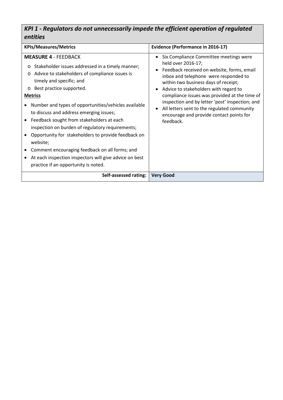#### *KPI 1 - Regulators do not unnecessarily impede the efficient operation of regulated entities*

| <b>KPIs/Measures/Metrics</b>                                                                                                                                                                                                                                                                                                                                                                                                                                                                                                                                                                                                                                              | <b>Evidence (Performance in 2016-17)</b>                                                                                                                                                                                                                                                                                                                                                                                                                                   |  |
|---------------------------------------------------------------------------------------------------------------------------------------------------------------------------------------------------------------------------------------------------------------------------------------------------------------------------------------------------------------------------------------------------------------------------------------------------------------------------------------------------------------------------------------------------------------------------------------------------------------------------------------------------------------------------|----------------------------------------------------------------------------------------------------------------------------------------------------------------------------------------------------------------------------------------------------------------------------------------------------------------------------------------------------------------------------------------------------------------------------------------------------------------------------|--|
| <b>MEASURE 4 - FEEDBACK</b><br>Stakeholder issues addressed in a timely manner;<br>$\circ$<br>Advice to stakeholders of compliance issues is<br>$\circ$<br>timely and specific; and<br>Best practice supported.<br>$\circ$<br><b>Metrics</b><br>Number and types of opportunities/vehicles available<br>to discuss and address emerging issues;<br>• Feedback sought from stakeholders at each<br>inspection on burden of regulatory requirements;<br>Opportunity for stakeholders to provide feedback on<br>website;<br>Comment encouraging feedback on all forms; and<br>At each inspection inspectors will give advice on best<br>practice if an opportunity is noted. | Six Compliance Committee meetings were<br>$\bullet$<br>held over 2016-17;<br>Feedback received on website, forms, email<br>$\bullet$<br>inbox and telephone were responded to<br>within two business days of receipt;<br>Advice to stakeholders with regard to<br>compliance issues was provided at the time of<br>inspection and by letter 'post' inspection; and<br>All letters sent to the regulated community<br>encourage and provide contact points for<br>feedback. |  |
| Self-assessed rating:                                                                                                                                                                                                                                                                                                                                                                                                                                                                                                                                                                                                                                                     | <b>Very Good</b>                                                                                                                                                                                                                                                                                                                                                                                                                                                           |  |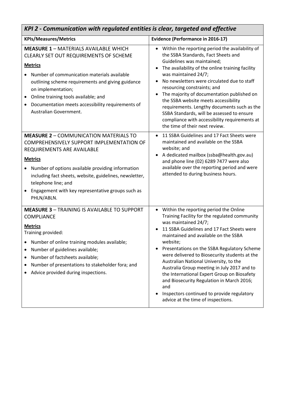| KPI 2 - Communication with regulated entities is clear, targeted and effective                                                                                                                                                                                                                                                                                                      |                                                                                                                                                                                                                                                                                                                                                                                                                                                                                                                                                                                                                     |  |  |
|-------------------------------------------------------------------------------------------------------------------------------------------------------------------------------------------------------------------------------------------------------------------------------------------------------------------------------------------------------------------------------------|---------------------------------------------------------------------------------------------------------------------------------------------------------------------------------------------------------------------------------------------------------------------------------------------------------------------------------------------------------------------------------------------------------------------------------------------------------------------------------------------------------------------------------------------------------------------------------------------------------------------|--|--|
| <b>KPIs/Measures/Metrics</b>                                                                                                                                                                                                                                                                                                                                                        | <b>Evidence (Performance in 2016-17)</b>                                                                                                                                                                                                                                                                                                                                                                                                                                                                                                                                                                            |  |  |
| <b>MEASURE 1 - MATERIALS AVAILABLE WHICH</b><br>CLEARLY SET OUT REQUIREMENTS OF SCHEME<br><b>Metrics</b><br>Number of communication materials available<br>outlining scheme requirements and giving guidance<br>on implementation;<br>Online training tools available; and<br>$\bullet$<br>Documentation meets accessibility requirements of<br>$\bullet$<br>Australian Government. | Within the reporting period the availability of<br>$\bullet$<br>the SSBA Standards, Fact Sheets and<br>Guidelines was maintained;<br>The availability of the online training facility<br>was maintained 24/7;<br>No newsletters were circulated due to staff<br>$\bullet$<br>resourcing constraints; and<br>The majority of documentation published on<br>$\bullet$<br>the SSBA website meets accessibility<br>requirements. Lengthy documents such as the<br>SSBA Standards, will be assessed to ensure<br>compliance with accessibility requirements at<br>the time of their next review.                         |  |  |
| <b>MEASURE 2 - COMMUNICATION MATERIALS TO</b><br>COMPREHENSIVELY SUPPORT IMPLEMENTATION OF<br>REQUIREMENTS ARE AVAILABLE<br><b>Metrics</b><br>Number of options available providing information<br>including fact sheets, website, guidelines, newsletter,<br>telephone line; and<br>Engagement with key representative groups such as<br>PHLN/ABLN.                                | 11 SSBA Guidelines and 17 Fact Sheets were<br>$\bullet$<br>maintained and available on the SSBA<br>website; and<br>A dedicated mailbox (ssba@health.gov.au)<br>$\bullet$<br>and phone line (02) 6289 7477 were also<br>available over the reporting period and were<br>attended to during business hours.                                                                                                                                                                                                                                                                                                           |  |  |
| <b>MEASURE 3 - TRAINING IS AVAILABLE TO SUPPORT</b><br><b>COMPLIANCE</b><br><b>Metrics</b><br>Training provided:<br>Number of online training modules available;<br>Number of guidelines available;<br>Number of factsheets available;<br>٠<br>Number of presentations to stakeholder fora; and<br>٠<br>Advice provided during inspections.                                         | Within the reporting period the Online<br>$\bullet$<br>Training Facility for the regulated community<br>was maintained 24/7;<br>11 SSBA Guidelines and 17 Fact Sheets were<br>maintained and available on the SSBA<br>website;<br>Presentations on the SSBA Regulatory Scheme<br>٠<br>were delivered to Biosecurity students at the<br>Australian National University, to the<br>Australia Group meeting in July 2017 and to<br>the International Expert Group on Biosafety<br>and Biosecurity Regulation in March 2016;<br>and<br>Inspectors continued to provide regulatory<br>advice at the time of inspections. |  |  |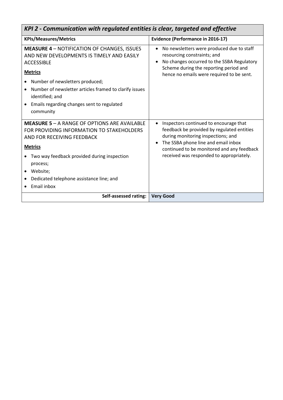| KPI 2 - Communication with regulated entities is clear, targeted and effective                                                                                                                                                                                                                                    |                                                                                                                                                                                                                                                                                       |  |
|-------------------------------------------------------------------------------------------------------------------------------------------------------------------------------------------------------------------------------------------------------------------------------------------------------------------|---------------------------------------------------------------------------------------------------------------------------------------------------------------------------------------------------------------------------------------------------------------------------------------|--|
| <b>KPIs/Measures/Metrics</b>                                                                                                                                                                                                                                                                                      | <b>Evidence (Performance in 2016-17)</b>                                                                                                                                                                                                                                              |  |
| <b>MEASURE 4 - NOTIFICATION OF CHANGES, ISSUES</b><br>AND NEW DEVELOPMENTS IS TIMELY AND EASILY<br><b>ACCESSIBLE</b><br><b>Metrics</b><br>Number of newsletters produced;<br>Number of newsletter articles framed to clarify issues<br>identified; and<br>Emails regarding changes sent to regulated<br>community | No newsletters were produced due to staff<br>$\bullet$<br>resourcing constraints; and<br>No changes occurred to the SSBA Regulatory<br>Scheme during the reporting period and<br>hence no emails were required to be sent.                                                            |  |
| <b>MEASURE 5 - A RANGE OF OPTIONS ARE AVAILABLE</b><br>FOR PROVIDING INFORMATION TO STAKEHOLDERS<br>AND FOR RECEIVING FEEDBACK<br><b>Metrics</b><br>Two way feedback provided during inspection<br>process;<br>Website;<br>$\bullet$<br>Dedicated telephone assistance line; and<br>Email inbox                   | Inspectors continued to encourage that<br>$\bullet$<br>feedback be provided by regulated entities<br>during monitoring inspections; and<br>The SSBA phone line and email inbox<br>$\bullet$<br>continued to be monitored and any feedback<br>received was responded to appropriately. |  |
| Self-assessed rating:                                                                                                                                                                                                                                                                                             | <b>Very Good</b>                                                                                                                                                                                                                                                                      |  |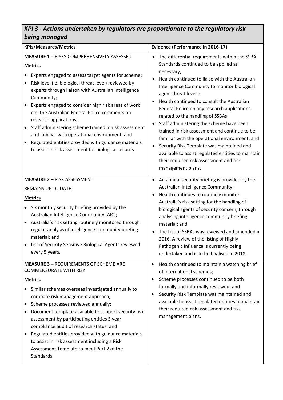#### *KPI 3 - Actions undertaken by regulators are proportionate to the regulatory risk being managed*

| <b>KPIs/Measures/Metrics</b>                                                                                                                                                                                                                                                                                                                                                                                                                                                                                                                                                                                                                                               | <b>Evidence (Performance in 2016-17)</b>                                                                                                                                                                                                                                                                                                                                                                                                                                                                                                                                                                                                                                                                                              |  |
|----------------------------------------------------------------------------------------------------------------------------------------------------------------------------------------------------------------------------------------------------------------------------------------------------------------------------------------------------------------------------------------------------------------------------------------------------------------------------------------------------------------------------------------------------------------------------------------------------------------------------------------------------------------------------|---------------------------------------------------------------------------------------------------------------------------------------------------------------------------------------------------------------------------------------------------------------------------------------------------------------------------------------------------------------------------------------------------------------------------------------------------------------------------------------------------------------------------------------------------------------------------------------------------------------------------------------------------------------------------------------------------------------------------------------|--|
| <b>MEASURE 1 - RISKS COMPREHENSIVELY ASSESSED</b><br><b>Metrics</b><br>Experts engaged to assess target agents for scheme;<br>Risk level (ie. biological threat level) reviewed by<br>$\bullet$<br>experts through liaison with Australian Intelligence<br>Community;<br>Experts engaged to consider high risk areas of work<br>$\bullet$<br>e.g. the Australian Federal Police comments on<br>research applications;<br>Staff administering scheme trained in risk assessment<br>$\bullet$<br>and familiar with operational environment; and<br>Regulated entities provided with guidance materials<br>$\bullet$<br>to assist in risk assessment for biological security. | The differential requirements within the SSBA<br>$\bullet$<br>Standards continued to be applied as<br>necessary;<br>Health continued to liaise with the Australian<br>Intelligence Community to monitor biological<br>agent threat levels;<br>Health continued to consult the Australian<br>$\bullet$<br>Federal Police on any research applications<br>related to the handling of SSBAs;<br>Staff administering the scheme have been<br>$\bullet$<br>trained in risk assessment and continue to be<br>familiar with the operational environment; and<br>Security Risk Template was maintained and<br>$\bullet$<br>available to assist regulated entities to maintain<br>their required risk assessment and risk<br>management plans. |  |
| <b>MEASURE 2 - RISK ASSESSMENT</b><br><b>REMAINS UP TO DATE</b><br><b>Metrics</b><br>Six monthly security briefing provided by the<br>٠<br>Australian Intelligence Community (AIC);<br>Australia's risk setting routinely monitored through<br>$\bullet$<br>regular analysis of intelligence community briefing<br>material; and<br>List of Security Sensitive Biological Agents reviewed<br>$\bullet$<br>every 5 years.                                                                                                                                                                                                                                                   | An annual security briefing is provided by the<br>Australian Intelligence Community;<br>Health continues to routinely monitor<br>Australia's risk setting for the handling of<br>biological agents of security concern, through<br>analysing intelligence community briefing<br>material; and<br>The List of SSBAs was reviewed and amended in<br>2016. A review of the listing of Highly<br>Pathogenic Influenza is currently being<br>undertaken and is to be finalised in 2018.                                                                                                                                                                                                                                                    |  |
| <b>MEASURE 3 - REQUIREMENTS OF SCHEME ARE</b><br><b>COMMENSURATE WITH RISK</b><br><b>Metrics</b><br>Similar schemes overseas investigated annually to<br>compare risk management approach;<br>Scheme processes reviewed annually;<br>٠<br>Document template available to support security risk<br>٠<br>assessment by participating entities 5 year<br>compliance audit of research status; and<br>Regulated entities provided with guidance materials<br>$\bullet$<br>to assist in risk assessment including a Risk<br>Assessment Template to meet Part 2 of the<br>Standards.                                                                                             | Health continued to maintain a watching brief<br>$\bullet$<br>of international schemes;<br>Scheme processes continued to be both<br>٠<br>formally and informally reviewed; and<br>Security Risk Template was maintained and<br>٠<br>available to assist regulated entities to maintain<br>their required risk assessment and risk<br>management plans.                                                                                                                                                                                                                                                                                                                                                                                |  |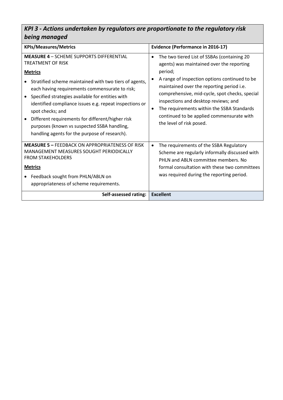#### *KPI 3 - Actions undertaken by regulators are proportionate to the regulatory risk being managed*

| <b>KPIs/Measures/Metrics</b>                                                                                                                                                                                                                                                                                                                                                                                                                                                              | <b>Evidence (Performance in 2016-17)</b>                                                                                                                                                                                                                                                                                                                                                                                             |  |
|-------------------------------------------------------------------------------------------------------------------------------------------------------------------------------------------------------------------------------------------------------------------------------------------------------------------------------------------------------------------------------------------------------------------------------------------------------------------------------------------|--------------------------------------------------------------------------------------------------------------------------------------------------------------------------------------------------------------------------------------------------------------------------------------------------------------------------------------------------------------------------------------------------------------------------------------|--|
| <b>MEASURE 4 - SCHEME SUPPORTS DIFFERENTIAL</b><br>TREATMENT OF RISK<br><b>Metrics</b><br>Stratified scheme maintained with two tiers of agents,<br>each having requirements commensurate to risk;<br>Specified strategies available for entities with<br>identified compliance issues e.g. repeat inspections or<br>spot checks; and<br>Different requirements for different/higher risk<br>purposes (known vs suspected SSBA handling,<br>handling agents for the purpose of research). | The two tiered List of SSBAs (containing 20<br>$\bullet$<br>agents) was maintained over the reporting<br>period;<br>A range of inspection options continued to be<br>maintained over the reporting period i.e.<br>comprehensive, mid-cycle, spot checks, special<br>inspections and desktop reviews; and<br>The requirements within the SSBA Standards<br>٠<br>continued to be applied commensurate with<br>the level of risk posed. |  |
| <b>MEASURE 5 - FFFDBACK ON APPROPRIATENESS OF RISK</b><br>MANAGEMENT MEASURES SOUGHT PERIODICALLY<br><b>FROM STAKEHOLDERS</b><br><b>Metrics</b><br>Feedback sought from PHLN/ABLN on<br>appropriateness of scheme requirements.                                                                                                                                                                                                                                                           | The requirements of the SSBA Regulatory<br>$\bullet$<br>Scheme are regularly informally discussed with<br>PHLN and ABLN committee members. No<br>formal consultation with these two committees<br>was required during the reporting period.                                                                                                                                                                                          |  |
| Self-assessed rating:                                                                                                                                                                                                                                                                                                                                                                                                                                                                     | <b>Excellent</b>                                                                                                                                                                                                                                                                                                                                                                                                                     |  |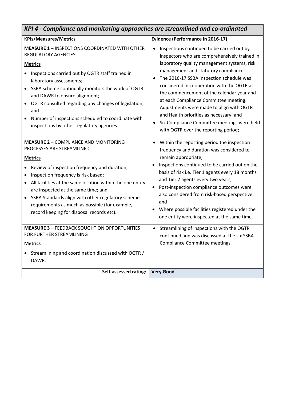| KPI 4 - Compliance and monitoring approaches are streamlined and co-ordinated                                                                                                                                                                                                                                                                                                                                                                |                                                                                                                                                                                                                                                                                                                                                                                                                                                                                                                                                  |  |
|----------------------------------------------------------------------------------------------------------------------------------------------------------------------------------------------------------------------------------------------------------------------------------------------------------------------------------------------------------------------------------------------------------------------------------------------|--------------------------------------------------------------------------------------------------------------------------------------------------------------------------------------------------------------------------------------------------------------------------------------------------------------------------------------------------------------------------------------------------------------------------------------------------------------------------------------------------------------------------------------------------|--|
| <b>KPIs/Measures/Metrics</b>                                                                                                                                                                                                                                                                                                                                                                                                                 | <b>Evidence (Performance in 2016-17)</b>                                                                                                                                                                                                                                                                                                                                                                                                                                                                                                         |  |
| <b>MEASURE 1 - INSPECTIONS COORDINATED WITH OTHER</b><br><b>REGULATORY AGENCIES</b><br><b>Metrics</b><br>Inspections carried out by OGTR staff trained in<br>laboratory assessments;<br>SSBA scheme continually monitors the work of OGTR<br>and DAWR to ensure alignment;<br>OGTR consulted regarding any changes of legislation;<br>and<br>Number of inspections scheduled to coordinate with<br>inspections by other regulatory agencies. | Inspections continued to be carried out by<br>inspectors who are comprehensively trained in<br>laboratory quality management systems, risk<br>management and statutory compliance;<br>The 2016-17 SSBA inspection schedule was<br>considered in cooperation with the OGTR at<br>the commencement of the calendar year and<br>at each Compliance Committee meeting.<br>Adjustments were made to align with OGTR<br>and Health priorities as necessary; and<br>Six Compliance Committee meetings were held<br>with OGTR over the reporting period; |  |
| <b>MEASURE 2 - COMPLIANCE AND MONITORING</b><br>PROCESSES ARE STREAMLINED<br><b>Metrics</b><br>Review of inspection frequency and duration;<br>Inspection frequency is risk based;<br>All facilities at the same location within the one entity<br>are inspected at the same time; and<br>SSBA Standards align with other regulatory scheme<br>requirements as much as possible (for example,<br>record keeping for disposal records etc).   | Within the reporting period the inspection<br>frequency and duration was considered to<br>remain appropriate;<br>Inspections continued to be carried out on the<br>$\bullet$<br>basis of risk i.e. Tier 1 agents every 18 months<br>and Tier 2 agents every two years;<br>Post-inspection compliance outcomes were<br>$\bullet$<br>also considered from risk-based perspective;<br>and<br>Where possible facilities registered under the<br>one entity were inspected at the same time.                                                          |  |
| <b>MEASURE 3 - FEEDBACK SOUGHT ON OPPORTUNITIES</b><br>FOR FURTHER STREAMLINING<br><b>Metrics</b><br>Streamlining and coordination discussed with OGTR /<br>DAWR.                                                                                                                                                                                                                                                                            | Streamlining of inspections with the OGTR<br>continued and was discussed at the six SSBA<br>Compliance Committee meetings.                                                                                                                                                                                                                                                                                                                                                                                                                       |  |
| Self-assessed rating:                                                                                                                                                                                                                                                                                                                                                                                                                        | <b>Very Good</b>                                                                                                                                                                                                                                                                                                                                                                                                                                                                                                                                 |  |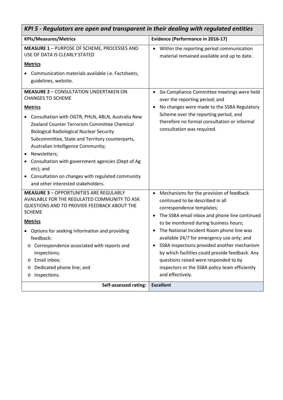| KPI 5 - Regulators are open and transparent in their dealing with regulated entities                                                                                                                                                                                                                                                                                                                                                                                                                                          |                                                                                                                                                                                                                                                                                                                                                                                                                                                                                                                                                         |  |
|-------------------------------------------------------------------------------------------------------------------------------------------------------------------------------------------------------------------------------------------------------------------------------------------------------------------------------------------------------------------------------------------------------------------------------------------------------------------------------------------------------------------------------|---------------------------------------------------------------------------------------------------------------------------------------------------------------------------------------------------------------------------------------------------------------------------------------------------------------------------------------------------------------------------------------------------------------------------------------------------------------------------------------------------------------------------------------------------------|--|
| <b>KPIs/Measures/Metrics</b>                                                                                                                                                                                                                                                                                                                                                                                                                                                                                                  | <b>Evidence (Performance in 2016-17)</b>                                                                                                                                                                                                                                                                                                                                                                                                                                                                                                                |  |
| MEASURE 1 - PURPOSE OF SCHEME, PROCESSES AND<br>USE OF DATA IS CLEARLY STATED                                                                                                                                                                                                                                                                                                                                                                                                                                                 | Within the reporting period communication<br>material remained available and up to date.                                                                                                                                                                                                                                                                                                                                                                                                                                                                |  |
| <b>Metrics</b><br>Communication materials available i.e. Factsheets,<br>guidelines, website.                                                                                                                                                                                                                                                                                                                                                                                                                                  |                                                                                                                                                                                                                                                                                                                                                                                                                                                                                                                                                         |  |
| <b>MEASURE 2 - CONSULTATION UNDERTAKEN ON</b><br><b>CHANGES TO SCHEME</b><br><b>Metrics</b><br>Consultation with OGTR, PHLN, ABLN, Australia New<br>Zealand Counter Terrorism Committee Chemical<br><b>Biological Radiological Nuclear Security</b><br>Subcommittee, State and Territory counterparts,<br>Australian Intelligence Community;<br>Newsletters;<br>Consultation with government agencies (Dept of Ag<br>٠<br>etc); and<br>Consultation on changes with regulated community<br>and other interested stakeholders. | Six Compliance Committee meetings were held<br>over the reporting period; and<br>No changes were made to the SSBA Regulatory<br>$\bullet$<br>Scheme over the reporting period, and<br>therefore no formal consultation or informal<br>consultation was required.                                                                                                                                                                                                                                                                                        |  |
| <b>MEASURE 3 - OPPORTUNITIES ARE REGULARLY</b><br>AVAILABLE FOR THE REGULATED COMMUNITY TO ASK<br>QUESTIONS AND TO PROVIDE FEEDBACK ABOUT THE<br><b>SCHEME</b><br><b>Metrics</b><br>Options for seeking information and providing<br>feedback:<br>Correspondence associated with reports and<br>O<br>inspections;<br>Email inbox;<br>O<br>Dedicated phone line; and<br>O<br>Inspections.<br>O                                                                                                                                 | Mechanisms for the provision of feedback<br>$\bullet$<br>continued to be described in all<br>correspondence templates;<br>The SSBA email inbox and phone line continued<br>$\bullet$<br>to be monitored during business hours;<br>The National Incident Room phone line was<br>available 24/7 for emergency use only; and<br>SSBA inspections provided another mechanism<br>$\bullet$<br>by which facilities could provide feedback. Any<br>questions raised were responded to by<br>inspectors or the SSBA policy team efficiently<br>and effectively. |  |
| <b>Self-assessed rating:</b>                                                                                                                                                                                                                                                                                                                                                                                                                                                                                                  | <b>Excellent</b>                                                                                                                                                                                                                                                                                                                                                                                                                                                                                                                                        |  |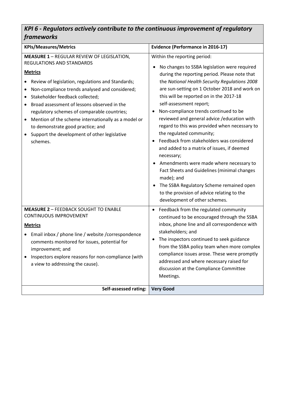#### *KPI 6 - Regulators actively contribute to the continuous improvement of regulatory frameworks*

| <b>KPIs/Measures/Metrics</b>                                                                                                                                                                                                                                                                                                                                                                                                                                                                                                   | <b>Evidence (Performance in 2016-17)</b>                                                                                                                                                                                                                                                                                                                                                                                                                                                                                                                                                                                                                                                                                                                                                                                |  |
|--------------------------------------------------------------------------------------------------------------------------------------------------------------------------------------------------------------------------------------------------------------------------------------------------------------------------------------------------------------------------------------------------------------------------------------------------------------------------------------------------------------------------------|-------------------------------------------------------------------------------------------------------------------------------------------------------------------------------------------------------------------------------------------------------------------------------------------------------------------------------------------------------------------------------------------------------------------------------------------------------------------------------------------------------------------------------------------------------------------------------------------------------------------------------------------------------------------------------------------------------------------------------------------------------------------------------------------------------------------------|--|
| <b>MEASURE 1 - REGULAR REVIEW OF LEGISLATION,</b><br><b>REGULATIONS AND STANDARDS</b><br><b>Metrics</b><br>Review of legislation, regulations and Standards;<br>Non-compliance trends analysed and considered;<br>٠<br>Stakeholder feedback collected;<br>Broad assessment of lessons observed in the<br>$\bullet$<br>regulatory schemes of comparable countries;<br>Mention of the scheme internationally as a model or<br>٠<br>to demonstrate good practice; and<br>Support the development of other legislative<br>schemes. | Within the reporting period:<br>No changes to SSBA legislation were required<br>during the reporting period. Please note that<br>the National Health Security Regulations 2008<br>are sun-setting on 1 October 2018 and work on<br>this will be reported on in the 2017-18<br>self-assessment report;<br>Non-compliance trends continued to be<br>reviewed and general advice / education with<br>regard to this was provided when necessary to<br>the regulated community;<br>Feedback from stakeholders was considered<br>and added to a matrix of issues, if deemed<br>necessary;<br>Amendments were made where necessary to<br>Fact Sheets and Guidelines (minimal changes<br>made); and<br>The SSBA Regulatory Scheme remained open<br>to the provision of advice relating to the<br>development of other schemes. |  |
| <b>MEASURE 2 - FEEDBACK SOUGHT TO ENABLE</b><br><b>CONTINUOUS IMPROVEMENT</b><br><b>Metrics</b><br>Email inbox / phone line / website / correspondence<br>comments monitored for issues, potential for<br>improvement; and<br>Inspectors explore reasons for non-compliance (with<br>a view to addressing the cause).                                                                                                                                                                                                          | Feedback from the regulated community<br>continued to be encouraged through the SSBA<br>inbox, phone line and all correspondence with<br>stakeholders; and<br>The inspectors continued to seek guidance<br>from the SSBA policy team when more complex<br>compliance issues arose. These were promptly<br>addressed and where necessary raised for<br>discussion at the Compliance Committee<br>Meetings.                                                                                                                                                                                                                                                                                                                                                                                                               |  |
| Self-assessed rating:                                                                                                                                                                                                                                                                                                                                                                                                                                                                                                          | <b>Very Good</b>                                                                                                                                                                                                                                                                                                                                                                                                                                                                                                                                                                                                                                                                                                                                                                                                        |  |